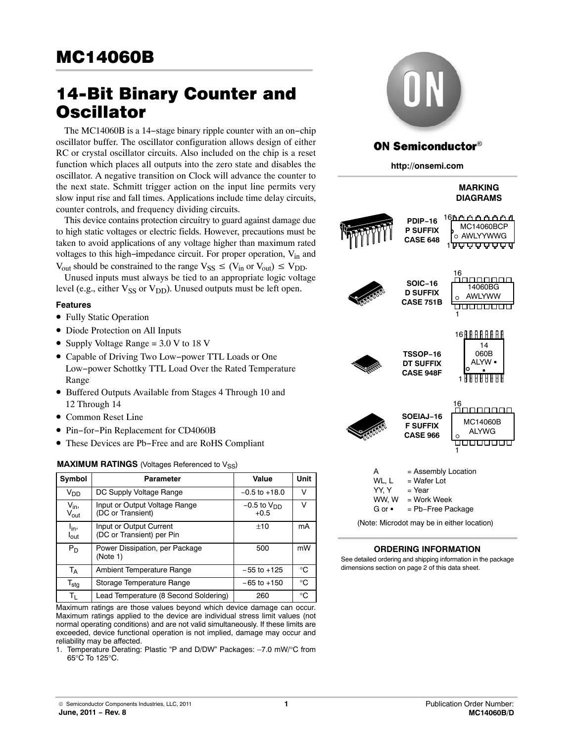# 14-Bit Binary Counter and **Oscillator**

The MC14060B is a 14−stage binary ripple counter with an on−chip oscillator buffer. The oscillator configuration allows design of either RC or crystal oscillator circuits. Also included on the chip is a reset function which places all outputs into the zero state and disables the oscillator. A negative transition on Clock will advance the counter to the next state. Schmitt trigger action on the input line permits very slow input rise and fall times. Applications include time delay circuits, counter controls, and frequency dividing circuits.

This device contains protection circuitry to guard against damage due to high static voltages or electric fields. However, precautions must be taken to avoid applications of any voltage higher than maximum rated voltages to this high−impedance circuit. For proper operation, Vin and

 $V_{\text{out}}$  should be constrained to the range  $V_{SS} \leq (V_{in} \text{ or } V_{\text{out}}) \leq V_{DD}$ .

Unused inputs must always be tied to an appropriate logic voltage level (e.g., either  $V_{SS}$  or  $V_{DD}$ ). Unused outputs must be left open.

## **Features**

- Fully Static Operation
- Diode Protection on All Inputs
- Supply Voltage Range = 3.0 V to 18 V
- Capable of Driving Two Low−power TTL Loads or One Low−power Schottky TTL Load Over the Rated Temperature Range
- Buffered Outputs Available from Stages 4 Through 10 and 12 Through 14
- Common Reset Line
- Pin−for−Pin Replacement for CD4060B
- These Devices are Pb−Free and are RoHS Compliant

### **MAXIMUM RATINGS** (Voltages Referenced to V<sub>SS</sub>)

| Symbol                                | <b>Parameter</b>                                     | Value                     | Unit         |
|---------------------------------------|------------------------------------------------------|---------------------------|--------------|
| V <sub>DD</sub>                       | DC Supply Voltage Range                              | $-0.5$ to $+18.0$         | v            |
| $V_{in}$<br>$V_{\rm out}$             | Input or Output Voltage Range<br>(DC or Transient)   | $-0.5$ to $VDD$<br>$+0.5$ | v            |
| l <sub>in</sub> ,<br>$I_{\text{out}}$ | Input or Output Current<br>(DC or Transient) per Pin | ±10                       | mA           |
| $P_D$                                 | Power Dissipation, per Package<br>(Note 1)           | 500                       | mW           |
| <b>TA</b>                             | Ambient Temperature Range                            | $-55$ to $+125$           | $^{\circ}$ C |
| $\mathsf{T}_{\textsf{stg}}$           | Storage Temperature Range                            | $-65$ to $+150$           | $^{\circ}$ C |
| Tı.                                   | Lead Temperature (8 Second Soldering)                | 260                       | $^{\circ}$ C |

Maximum ratings are those values beyond which device damage can occur. Maximum ratings applied to the device are individual stress limit values (not normal operating conditions) and are not valid simultaneously. If these limits are exceeded, device functional operation is not implied, damage may occur and reliability may be affected.

1. Temperature Derating: Plastic "P and D/DW" Packages: –7.0 mW/°C from 65°C To 125°C.



## **ON Semiconductor®**

**http://onsemi.com**

|                                        |                                                                                  | <b>MARKING</b><br><b>DIAGRAMS</b>          |
|----------------------------------------|----------------------------------------------------------------------------------|--------------------------------------------|
|                                        | <b>PDIP-16</b><br><b>P SUFFIX</b><br><b>CASE 648</b>                             | MC14060BCP<br>o AWLYYWWG                   |
|                                        | <b>SOIC-16</b><br><b>D SUFFIX</b><br><b>CASE 751B</b>                            | 16<br>14060BG<br>AWLYWW<br>O<br>1          |
|                                        | <b>TSSOP-16</b><br><b>DT SUFFIX</b><br><b>CASE 948F</b>                          | 16 H H H H<br>H.<br>H<br>14<br>060B        |
|                                        | SOEIAJ-16<br><b>F SUFFIX</b><br><b>CASE 966</b>                                  | 16<br>MC14060B<br>ALYWG<br>1               |
| А<br>WL, L<br>YY, Y<br>WW, W<br>G or = | = Assembly Location<br>= Wafer Lot<br>= Year<br>= Work Week<br>= Pb-Free Package |                                            |
|                                        |                                                                                  | (Note: Microdot may be in either location) |

## **ORDERING INFORMATION**

See detailed ordering and shipping information in the package dimensions section on page [2](#page-1-0) of this data sheet.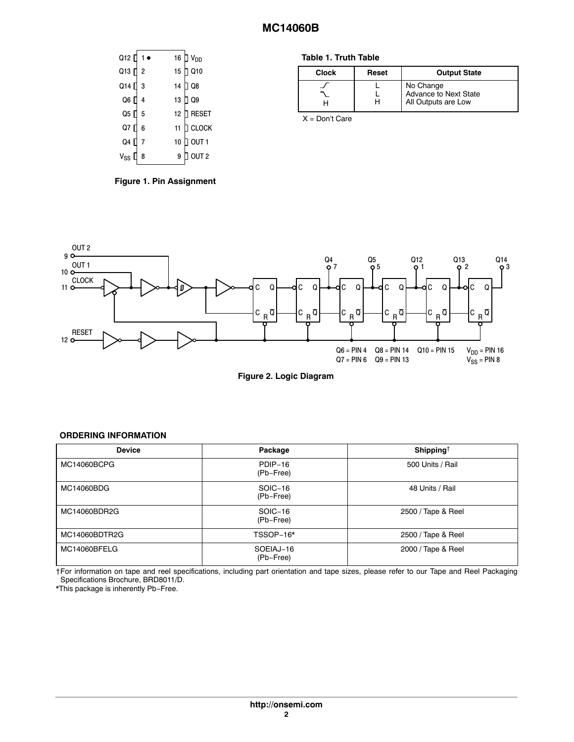<span id="page-1-0"></span>

| Q12 []            | $1 \bullet$    |    | 16 $\Box$ V <sub>DD</sub> |
|-------------------|----------------|----|---------------------------|
| Q13 []            | $\overline{2}$ | 15 | $J$ Q <sub>10</sub>       |
| Q14 [             | 3              | 14 | Q8                        |
| Q6 []             | $\overline{4}$ | 13 | Q9                        |
| Q5 []             | 5              | 12 | <b>RESET</b>              |
| Q7 [              | 6              | 11 | ] CLOCK                   |
| Q4 [              |                | 10 | OUT <sub>1</sub>          |
| V <sub>SS</sub> L | 8              | 9  | OUT <sub>2</sub>          |

**Figure 1. Pin Assignment**

#### **Table 1. Truth Table**

| <b>Clock</b> | Reset | <b>Output State</b>                                       |
|--------------|-------|-----------------------------------------------------------|
|              | н     | No Change<br>Advance to Next State<br>All Outputs are Low |

X = Don't Care



**Figure 2. Logic Diagram**

#### **ORDERING INFORMATION**

| <b>Device</b> | Package                | Shipping <sup>†</sup> |  |
|---------------|------------------------|-----------------------|--|
| MC14060BCPG   | PDIP-16<br>(Pb-Free)   | 500 Units / Rail      |  |
| MC14060BDG    | SOIC-16<br>(Pb-Free)   | 48 Units / Rail       |  |
| MC14060BDR2G  | SOIC-16<br>(Pb-Free)   | 2500 / Tape & Reel    |  |
| MC14060BDTR2G | TSSOP-16*              | 2500 / Tape & Reel    |  |
| MC14060BFELG  | SOEIAJ-16<br>(Pb-Free) | 2000 / Tape & Reel    |  |

†For information on tape and reel specifications, including part orientation and tape sizes, please refer to our Tape and Reel Packaging Specifications Brochure, BRD8011/D.

\*This package is inherently Pb−Free.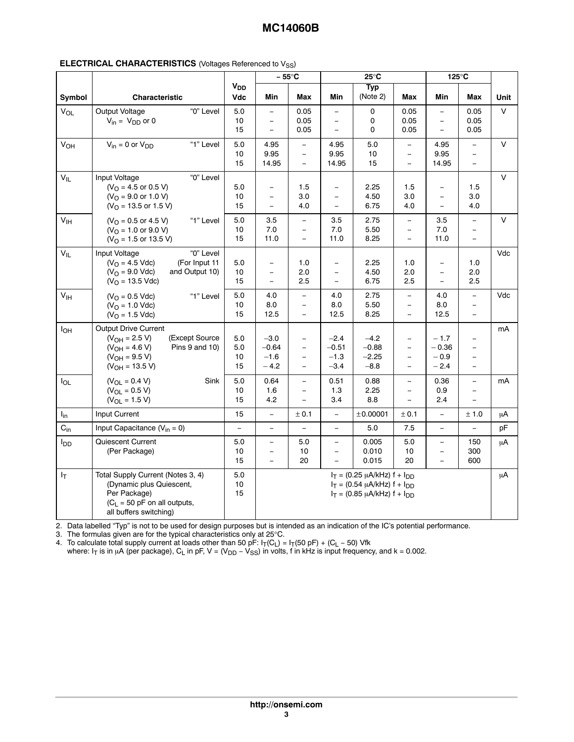|                 |                                                                                                                                                   |                              |                                                  | – 55°C                                  |                                                                  | $25^{\circ}$ C                                                                                                    |                                                                  |                                                      | 125°C                                                                        |         |
|-----------------|---------------------------------------------------------------------------------------------------------------------------------------------------|------------------------------|--------------------------------------------------|-----------------------------------------|------------------------------------------------------------------|-------------------------------------------------------------------------------------------------------------------|------------------------------------------------------------------|------------------------------------------------------|------------------------------------------------------------------------------|---------|
| Symbol          | Characteristic                                                                                                                                    | <b>V<sub>DD</sub></b><br>Vdc | Min                                              | <b>Max</b>                              | Min                                                              | <b>Typ</b><br>(Note 2)                                                                                            | Max                                                              | Min                                                  | Max                                                                          | Unit    |
| $V_{OL}$        | "0" Level<br>Output Voltage<br>$V_{in} = V_{DD}$ or 0                                                                                             | 5.0<br>10<br>15              | $\equiv$<br>$\overline{\phantom{a}}$<br>$\equiv$ | 0.05<br>0.05<br>0.05                    | $\equiv$<br>$\equiv$<br>$\equiv$                                 | $\mathsf{o}$<br>0<br>$\mathbf 0$                                                                                  | 0.05<br>0.05<br>0.05                                             | $\equiv$<br>$\overline{\phantom{0}}$<br>$\equiv$     | 0.05<br>0.05<br>0.05                                                         | $\vee$  |
| $V_{OH}$        | $V_{in} = 0$ or $V_{DD}$<br>"1" Level                                                                                                             | 5.0<br>10<br>15              | 4.95<br>9.95<br>14.95                            | $\equiv$<br>$\equiv$<br>$\equiv$        | 4.95<br>9.95<br>14.95                                            | 5.0<br>10<br>15                                                                                                   | $\overline{\phantom{a}}$<br>$\overline{\phantom{a}}$<br>$\equiv$ | 4.95<br>9.95<br>14.95                                | $\overline{\phantom{m}}$<br>$\overline{\phantom{a}}$<br>$\overline{a}$       | $\vee$  |
| $V_{IL}$        | "0" Level<br>Input Voltage<br>$(VO = 4.5$ or 0.5 V)<br>$(VO = 9.0$ or 1.0 V)<br>$(VO = 13.5$ or 1.5 V)                                            | 5.0<br>10<br>15              | $\equiv$<br>$\equiv$<br>$\equiv$                 | 1.5<br>3.0<br>4.0                       | $\equiv$<br>$\overline{\phantom{a}}$<br>$\equiv$                 | 2.25<br>4.50<br>6.75                                                                                              | 1.5<br>$3.0\,$<br>4.0                                            | $\equiv$<br>$\overline{\phantom{a}}$                 | 1.5<br>3.0<br>4.0                                                            | $\vee$  |
| $V_{\text{IH}}$ | $(VO = 0.5$ or 4.5 V)<br>"1" Level<br>$(VO = 1.0$ or 9.0 V)<br>$(VO = 1.5$ or 13.5 V)                                                             | 5.0<br>10<br>15              | 3.5<br>7.0<br>11.0                               | $\equiv$<br>$\equiv$<br>$\equiv$        | 3.5<br>7.0<br>11.0                                               | 2.75<br>5.50<br>8.25                                                                                              | $\equiv$<br>$\overline{\phantom{a}}$<br>$\equiv$                 | 3.5<br>7.0<br>11.0                                   | $\equiv$<br>$\overline{\phantom{a}}$<br>$\equiv$                             | $\vee$  |
| $V_{IL}$        | "0" Level<br>Input Voltage<br>$(VO = 4.5$ Vdc)<br>(For Input 11<br>$(VO = 9.0$ Vdc)<br>and Output 10)<br>$(VO = 13.5 Vdc)$                        | 5.0<br>10<br>15              | $\equiv$<br>$\overline{\phantom{a}}$<br>$\equiv$ | 1.0<br>2.0<br>2.5                       | $\overline{\phantom{a}}$<br>$\overline{\phantom{m}}$<br>$\equiv$ | 2.25<br>4.50<br>6.75                                                                                              | 1.0<br>2.0<br>2.5                                                | $\overline{\phantom{0}}$<br>$\overline{\phantom{a}}$ | 1.0<br>2.0<br>2.5                                                            | Vdc     |
| V <sub>IH</sub> | "1" Level<br>$(VO = 0.5 Vdc)$<br>$(VO = 1.0$ Vdc)<br>$(VO = 1.5$ Vdc)                                                                             | 5.0<br>10<br>15              | 4.0<br>8.0<br>12.5                               | $\equiv$<br>$\equiv$<br>$\equiv$        | 4.0<br>8.0<br>12.5                                               | 2.75<br>5.50<br>8.25                                                                                              | $\overline{\phantom{a}}$<br>$\overline{\phantom{a}}$<br>$\equiv$ | 4.0<br>8.0<br>12.5                                   | $\equiv$<br>$\overline{\phantom{a}}$<br>$\equiv$                             | Vdc     |
| $I_{OH}$        | Output Drive Current<br>$(V_{OH} = 2.5 V)$<br>(Except Source<br>$(V_{OH} = 4.6 V)$<br>Pins 9 and 10)<br>$(V_{OH} = 9.5 V)$<br>$(V_{OH} = 13.5 V)$ | $5.0\,$<br>5.0<br>10<br>15   | $-3.0$<br>$-0.64$<br>$-1.6$<br>$-4.2$            | $\equiv$<br>$\equiv$<br>$-$<br>$\equiv$ | $-2.4$<br>$-0.51$<br>$-1.3$<br>$-3.4$                            | $-4.2$<br>$-0.88$<br>$-2.25$<br>$-8.8$                                                                            | $\equiv$<br>$\overline{\phantom{0}}$<br>$\equiv$<br>$\equiv$     | $-1.7$<br>$-0.36$<br>$-0.9$<br>$-2.4$                | $\overline{\phantom{a}}$<br>$\equiv$<br>$\overline{\phantom{a}}$<br>$\equiv$ | mA      |
| $I_{OL}$        | Sink<br>$(V_{OL} = 0.4 V)$<br>$(V_{OL} = 0.5 V)$<br>$(V_{OL} = 1.5 V)$                                                                            | 5.0<br>10<br>15              | 0.64<br>1.6<br>4.2                               | $\equiv$<br>$\equiv$<br>L,              | 0.51<br>1.3<br>3.4                                               | 0.88<br>2.25<br>8.8                                                                                               | $\overline{\phantom{a}}$<br>$\equiv$<br>$\equiv$                 | 0.36<br>$0.9\,$<br>2.4                               | $\equiv$<br>$\equiv$<br>$\equiv$                                             | mA      |
| $I_{in}$        | Input Current                                                                                                                                     | 15                           | $\overline{\phantom{0}}$                         | ± 0.1                                   | $\overline{\phantom{a}}$                                         | ±0.00001                                                                                                          | ± 0.1                                                            | $\equiv$                                             | $\pm$ 1.0                                                                    | $\mu$ A |
| $C_{in}$        | Input Capacitance $(V_{in} = 0)$                                                                                                                  | $\equiv$                     | $\equiv$                                         | $\equiv$                                | $\equiv$                                                         | 5.0                                                                                                               | 7.5                                                              | $\equiv$                                             | $\omega$                                                                     | pF      |
| $I_{DD}$        | Quiescent Current<br>(Per Package)                                                                                                                | 5.0<br>10<br>15              | $\equiv$<br>$\overline{\phantom{0}}$<br>$\equiv$ | 5.0<br>10<br>20                         | $\overline{\phantom{a}}$<br>$\overline{\phantom{m}}$<br>$\equiv$ | 0.005<br>0.010<br>0.015                                                                                           | 5.0<br>$10$<br>20                                                | $\equiv$<br>$\overline{\phantom{a}}$<br>$\equiv$     | 150<br>300<br>600                                                            | $\mu$ A |
| $I_T$           | Total Supply Current (Notes 3, 4)<br>(Dynamic plus Quiescent,<br>Per Package)<br>$(C_L = 50$ pF on all outputs,<br>all buffers switching)         | 5.0<br>10<br>15              |                                                  |                                         |                                                                  | $I_T = (0.25 \mu A/kHz) f + I_{DD}$<br>$I_T = (0.54 \mu A/kHz) f + I_{DD}$<br>$I_T = (0.85 \mu A/kHz) f + I_{DD}$ |                                                                  |                                                      |                                                                              | $\mu$ A |

2. Data labelled "Typ" is not to be used for design purposes but is intended as an indication of the IC's potential performance.<br>C. The formulas since are for the turised abancteristics antual OFCC.

îÎ le tennile an ise ew terthe turisti elese tennistice ew i etîlîlîl ina de an cele an an Alexandra Alexandra de an alexandra a cele al f150f 1 ÎÎÎ 3. The formulas given are for the typical characteristics only at 25°C.

4. To calculate total supply current at loads other than 50 pF: I<sub>T</sub>(C<sub>L</sub>) = I<sub>T</sub>(50 pF) + (C<sub>L</sub> − 50) Vfk

where: I<sub>T</sub> is in µA (per package), C<sub>L</sub> in pF, V = (V<sub>DD</sub> – V<sub>SS</sub>) in volts, f in kHz is input frequency, and k = 0.002.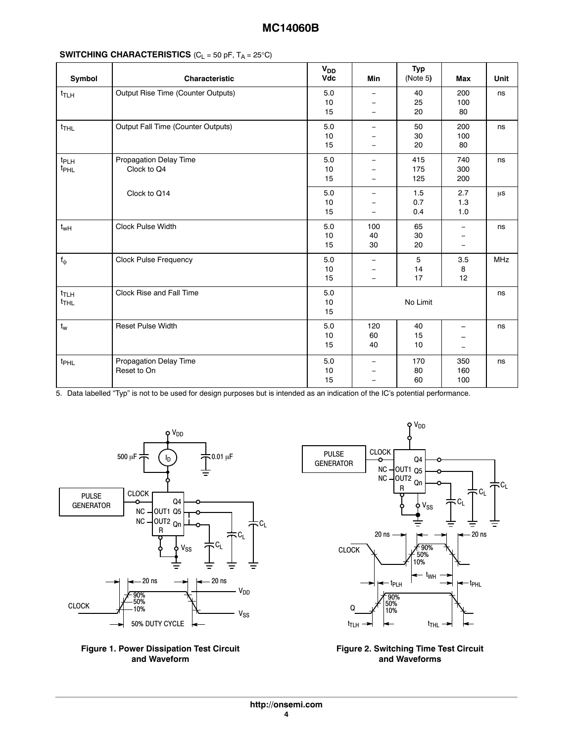| Symbol                               | Characteristic                               | $V_{DD}$<br>Vdc       | Min                                                                              | <b>Typ</b><br>(Note 5) | Max                                                                              | Unit       |
|--------------------------------------|----------------------------------------------|-----------------------|----------------------------------------------------------------------------------|------------------------|----------------------------------------------------------------------------------|------------|
| $t_{\sf T LH}$                       | Output Rise Time (Counter Outputs)           | $5.0\,$<br>10<br>15   | $\overline{\phantom{m}}$<br>$\overline{\phantom{a}}$<br>$\overline{\phantom{a}}$ | 40<br>25<br>20         | 200<br>100<br>80                                                                 | ns         |
| $t_{THL}$                            | Output Fall Time (Counter Outputs)           | $5.0\,$<br>10<br>15   | $\overline{\phantom{m}}$<br>$\equiv$<br>$\overline{\phantom{m}}$                 | 50<br>30<br>20         | 200<br>100<br>80                                                                 | ns         |
| t <sub>PLH</sub><br>t <sub>PHL</sub> | <b>Propagation Delay Time</b><br>Clock to Q4 | $5.0\,$<br>$10$<br>15 | $\overline{\phantom{m}}$<br>$\overline{\phantom{a}}$<br>$\overline{\phantom{a}}$ | 415<br>175<br>125      | 740<br>300<br>200                                                                | ns         |
|                                      | Clock to Q14                                 | 5.0<br>10<br>15       | $\overline{\phantom{a}}$<br>$\overline{\phantom{a}}$<br>$\overline{\phantom{a}}$ | 1.5<br>0.7<br>0.4      | 2.7<br>1.3<br>$1.0$                                                              | $\mu$ s    |
| $t_{wH}$                             | Clock Pulse Width                            | $5.0\,$<br>10<br>15   | 100<br>40<br>30                                                                  | 65<br>30<br>20         | $\overline{\phantom{0}}$<br>$\overline{\phantom{a}}$                             | ns         |
| $f_{\varphi}$                        | <b>Clock Pulse Frequency</b>                 | $5.0\,$<br>10<br>15   | $\overline{\phantom{m}}$<br>$\overline{\phantom{m}}$<br>$\overline{\phantom{a}}$ | 5<br>14<br>17          | $3.5\,$<br>8<br>12                                                               | <b>MHz</b> |
| $t_{TLH}$<br>$t$ THL                 | Clock Rise and Fall Time                     | $5.0\,$<br>$10$<br>15 |                                                                                  | No Limit               |                                                                                  | ns         |
| $t_{w}$                              | Reset Pulse Width                            | 5.0<br>10<br>15       | 120<br>60<br>40                                                                  | 40<br>15<br>10         | $\overline{\phantom{0}}$<br>$\overline{\phantom{0}}$<br>$\overline{\phantom{a}}$ | ns         |
| t <sub>PHL</sub>                     | <b>Propagation Delay Time</b><br>Reset to On | 5.0<br>10<br>15       | $\overline{\phantom{m}}$<br>$\overline{\phantom{m}}$<br>$\overline{\phantom{m}}$ | 170<br>80<br>60        | 350<br>160<br>100                                                                | ns         |

5. Data labelled "Typ" is not to be used for design purposes but is intended as an indication of the IC's potential performance.







### **Figure 2. Switching Time Test Circuit and Waveforms**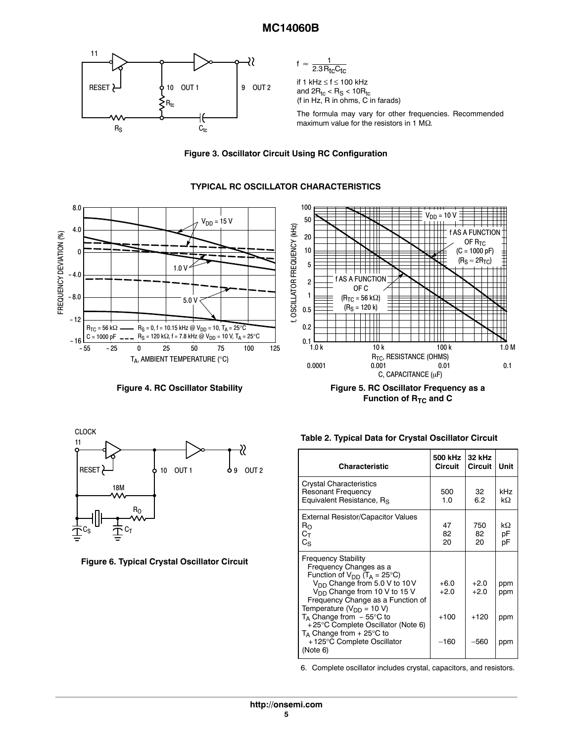

 $f \approx \frac{1}{2.3R_{\text{tc}}C_{\text{tc}}}$ 

if 1 kHz ≤ f ≤ 100 kHz and 2 $\rm R_{tc}$  <  $\rm R_S$  < 10 $\rm R_{tc}$ (f in Hz, R in ohms, C in farads)

The formula may vary for other frequencies. Recommended maximum value for the resistors in 1 M $\Omega$ .



**TYPICAL RC OSCILLATOR CHARACTERISTICS**



100



**Figure 4. RC Oscillator Stability Figure 5. RC Oscillator Frequency as a** Function of R<sub>TC</sub> and C



**Figure 6. Typical Crystal Oscillator Circuit**

|  | Table 2. Typical Data for Crystal Oscillator Circuit |  |  |  |
|--|------------------------------------------------------|--|--|--|
|--|------------------------------------------------------|--|--|--|

| Characteristic                                                                                                                                                                                                                                                                                                                                                                                                                        | 500 kHz<br><b>Circuit</b>            | 32 kHz<br>Circuit                    | Unit                     |
|---------------------------------------------------------------------------------------------------------------------------------------------------------------------------------------------------------------------------------------------------------------------------------------------------------------------------------------------------------------------------------------------------------------------------------------|--------------------------------------|--------------------------------------|--------------------------|
| <b>Crystal Characteristics</b><br><b>Resonant Frequency</b><br>Equivalent Resistance, R <sub>S</sub>                                                                                                                                                                                                                                                                                                                                  | 500<br>1.0                           | 32<br>6.2                            | kHz<br>kΩ                |
| <b>External Resistor/Capacitor Values</b><br>$R_{\rm O}$<br>$C_{\mathsf{T}}$<br>$C_S$                                                                                                                                                                                                                                                                                                                                                 | 47<br>82<br>20                       | 750<br>82<br>20                      | kΩ<br>pF<br>рF           |
| <b>Frequency Stability</b><br>Frequency Changes as a<br>Function of $V_{DD}$ (T <sub>A</sub> = 25°C)<br>V <sub>DD</sub> Change from 5.0 V to 10 V<br>V <sub>DD</sub> Change from 10 V to 15 V<br>Frequency Change as a Function of<br>Temperature ( $V_{DD}$ = 10 V)<br>$T_A$ Change from $-55^{\circ}$ C to<br>+25°C Complete Oscillator (Note 6)<br>$T_A$ Change from + 25 $\degree$ C to<br>+125°C Complete Oscillator<br>(Note 6) | $+6.0$<br>$+2.0$<br>$+100$<br>$-160$ | $+2.0$<br>$+2.0$<br>$+120$<br>$-560$ | ppm<br>ppm<br>ppm<br>ppm |

6. Complete oscillator includes crystal, capacitors, and resistors.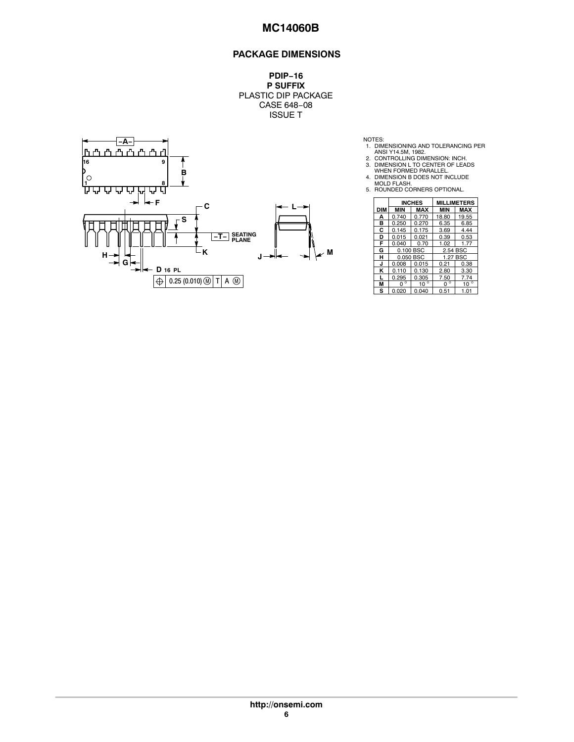## **PACKAGE DIMENSIONS**

**PDIP−16 P SUFFIX** PLASTIC DIP PACKAGE CASE 648−08 ISSUE T



- NOTES:<br>
1. DIMENSIONING AND TOLERANCING PER<br>
2. CONTROLLING DIMENSION: INCH.<br>
2. CONTROLLING DIMENSION<br>
3. DIMENSION L TO CENTER OF LEADS<br>
WHEN FORMED PARALLEL.<br>
4. DIMENSION B DOES NOT INCLUDE<br>
5. ROUNDED CORNERS OPTIONAL
- 
- 
- 
- 

|            |             | <b>INCHES</b> |             | <b>MILLIMETERS</b> |  |
|------------|-------------|---------------|-------------|--------------------|--|
| <b>DIM</b> | MIN         | MAX           | <b>MIN</b>  | MAX                |  |
| А          | 0.740       | 0.770         | 18.80       | 19.55              |  |
| в          | 0.250       | 0.270         | 6.35        | 6.85               |  |
| C          | 0.145       | 0.175         | 3.69        | 4.44               |  |
| D          | 0.015       | 0.021         | 0.39        | 0.53               |  |
| F          | 0.040       | 0.70          | 1.02        | 1.77               |  |
| G          |             | 0.100 BSC     |             | 2.54 BSC           |  |
| н          | 0.050 BSC   |               | 1.27 BSC    |                    |  |
| J          | 0.008       | 0.015         | 0.21        | 0.38               |  |
| ĸ          | 0.110       | 0.130         | 2.80        | 3.30               |  |
|            | 0.295       | 0.305         | 7.50        | 7.74               |  |
| М          | $0^{\circ}$ | $10^{\circ}$  | $0^{\circ}$ | $10^{\circ}$       |  |
| s          | 0.020       | 0.040         | 0.51        | 1.01               |  |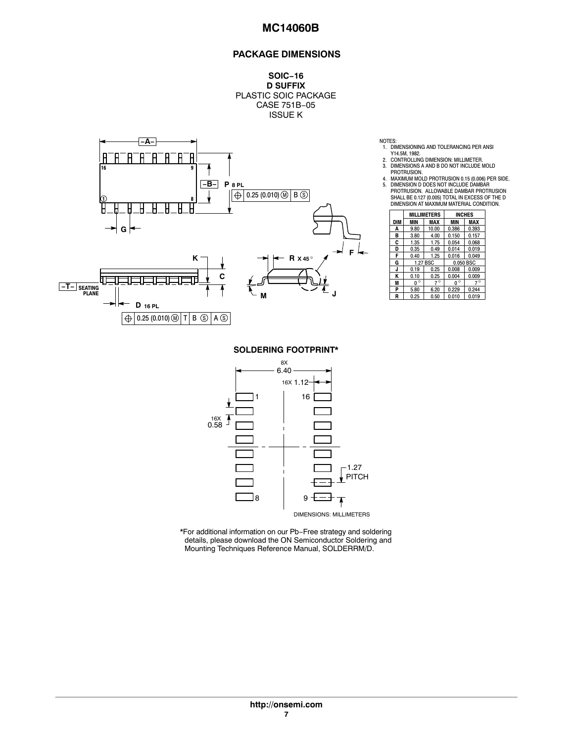## **PACKAGE DIMENSIONS**

**SOIC−16 D SUFFIX** PLASTIC SOIC PACKAGE CASE 751B−05 ISSUE K



- NOTES:<br>1. DIMENSIONING AND TOLERANCING PER ANSI<br>Y14.5M, 1982.<br>2. CONTROLLING DIMENSION: MILLIMETER.<br>3. DIMENSIONS A AND B DO NOT INCLUDE MOLD
- 
- 

| DIMENSION AT MAXIMUM MATERIAL CONI |             |                    |               |           |  |  |  |
|------------------------------------|-------------|--------------------|---------------|-----------|--|--|--|
|                                    |             | <b>MILLIMETERS</b> | <b>INCHES</b> |           |  |  |  |
| DIM                                | MIN         | MAX                | <b>MIN</b>    | MAX       |  |  |  |
| A                                  | 9.80        | 10.00              | 0.386         | 0.393     |  |  |  |
| B                                  | 3.80        | 4.00               | 0.150         | 0.157     |  |  |  |
| C                                  | 1.35        | 1.75               | 0.054         | 0.068     |  |  |  |
| D                                  | 0.35        | 0.49               | 0.014         | 0.019     |  |  |  |
| F                                  | 0.40        | 1.25               | 0.016         | 0.049     |  |  |  |
| G                                  |             | 1.27 BSC           |               | 0.050 BSC |  |  |  |
| J                                  | 0.19        | 0.25               | 0.008         | 0.009     |  |  |  |
| K                                  | 0.10        | 0.25               | 0.004         | 0.009     |  |  |  |
| M                                  | $0^{\circ}$ | $7^\circ$          | $0^{\circ}$   | $7^\circ$ |  |  |  |
| P                                  | 5.80        | 6.20               | 0.229         | 0.244     |  |  |  |
| R                                  | 0.25        | 0.50               | 0.010         | 0.019     |  |  |  |

**SOLDERING FOOTPRINT\***



\*For additional information on our Pb−Free strategy and soldering details, please download the ON Semiconductor Soldering and Mounting Techniques Reference Manual, SOLDERRM/D.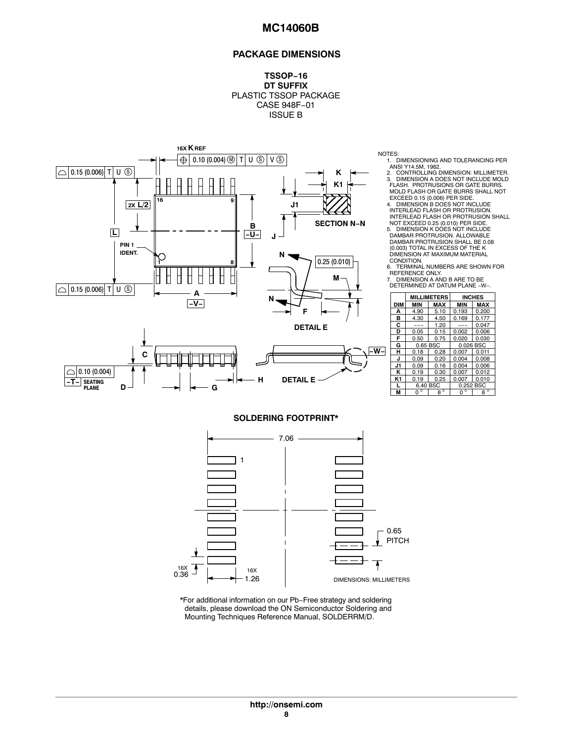#### **PACKAGE DIMENSIONS**

**TSSOP−16 DT SUFFIX** PLASTIC TSSOP PACKAGE CASE 948F−01 ISSUE B



**G**

**SEATING −T− PLANE**

**D**

NOTES:

1. DIMENSIONING AND TOLERANCING PER ANSI Y14.5M, 1982.

<u>raj de 1950 de la constancia de la constancia de la constancia de la constancia de la constancia de la constancia de la constancia de la constancia de la constancia de la constancia de la constancia de la constancia de la</u> 2. CONTROLLING DIMENSION: MILLIMETER. 3. DIMENSION A DOES NOT INCLUDE MOLD FLASH. PROTRUSIONS OR GATE BURRS. MOLD FLASH OR GATE BURRS SHALL NOT

 $\mathsf{L} \cup \mathsf{L} \cup \mathsf{L} \cup \mathsf{L} \cup \mathsf{L} \cup \mathsf{L} \cup \mathsf{L} \cup \mathsf{L} \cup \mathsf{L} \cup \mathsf{L} \cup \mathsf{L} \cup \mathsf{L} \cup \mathsf{L} \cup \mathsf{L} \cup \mathsf{L} \cup \mathsf{L} \cup \mathsf{L} \cup \mathsf{L} \cup \mathsf{L} \cup \mathsf{L} \cup \mathsf{L} \cup \mathsf{L} \cup \mathsf{L} \cup \mathsf{L} \cup \mathsf{L} \cup \mathsf{L} \cup \mathsf{L} \cup \mathsf{$ EXCEED 0.15 (0.006) PER SIDE. 4. DIMENSION B DOES NOT INCLUDE INTERLEAD FLASH OR PROTRUSION. INTERLEAD FLASH OR PROTRUSION SHALL NOT EXCEED 0.25 (0.010) PER SIDE. 5. DIMENSION K DOES NOT INCLUDE DAMBAR PROTRUSION. ALLOWABLE

DAMBAR PROTRUSION SHALL BE 0.08 (0.003) TOTAL IN EXCESS OF THE K DIMENSION AT MAXIMUM MATERIAL CONDITION.

6. TERMINAL NUMBERS ARE SHOWN FOR<br>|REFERENCE ONLY.<br>7. DIMENSION A AND B ARE TO BE<br>|DETERMINED AT DATUM PLANE −W−.

|     |             | <b>MILLIMETERS</b> |             | <b>INCHES</b> |  |
|-----|-------------|--------------------|-------------|---------------|--|
| DIM | MIN         | <b>MAX</b>         | <b>MIN</b>  | <b>MAX</b>    |  |
| А   | 4.90        | 5.10               | 0.193       | 0.200         |  |
| в   | 4.30        | 4.50               | 0.169       | 0.177         |  |
| C   |             | 1.20               |             | 0.047         |  |
| D   | 0.05        | 0.15               | 0.002       | 0.006         |  |
| F   | 0.50        | 0.75               | 0.020       | 0.030         |  |
| G   | 0.65 BSC    |                    | 0.026 BSC   |               |  |
| н   | 0.18        | 0.28               | 0.007       | 0.011         |  |
| J   | 0.09        | 0.20               | 0.004       | 0.008         |  |
| J1  | 0.09        | 0.16               | 0.004       | 0.006         |  |
| ĸ   | 0.19        | 0.30               | 0.007       | 0.012         |  |
| K1  | 0.19        | 0.25               | 0.007       | 0.010         |  |
| L   | 6.40 BSC    |                    |             | 0.252 BSC     |  |
| м   | $0^{\circ}$ | $8^\circ$          | $0^{\circ}$ | $8^\circ$     |  |

#### **SOLDERING FOOTPRINT\***

**H**

**DETAIL E**



\*For additional information on our Pb−Free strategy and soldering details, please download the ON Semiconductor Soldering and Mounting Techniques Reference Manual, SOLDERRM/D.